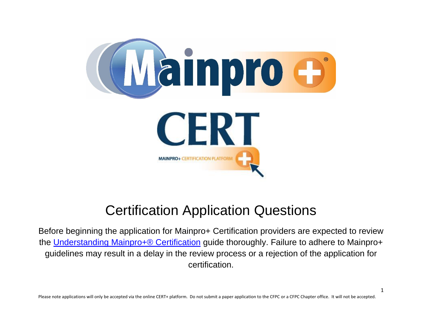

# Certification Application Questions

Before beginning the application for Mainpro+ Certification providers are expected to review the [Understanding Mainpro+® Certification](http://www.cfpc.ca/uploadedFiles/CPD/Mainpro_-_Maintenance_of_Proficiency/CPD_Providers_and_Planners/Mainpro-Certification-Standard-March-2018.pdf) guide thoroughly. Failure to adhere to Mainpro+ guidelines may result in a delay in the review process or a rejection of the application for certification.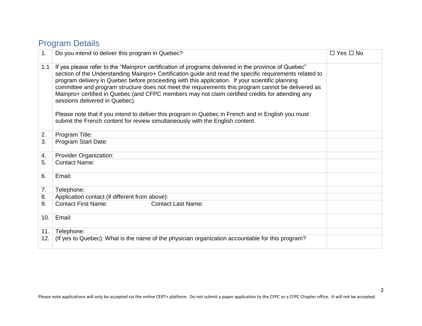# Program Details

| 1.  | Do you intend to deliver this program in Quebec?                                                                                                                                                                                                                                                                                                                                                                                                                                                                                                                                                                                                                                                                                                     | $\Box$ Yes $\Box$ No |
|-----|------------------------------------------------------------------------------------------------------------------------------------------------------------------------------------------------------------------------------------------------------------------------------------------------------------------------------------------------------------------------------------------------------------------------------------------------------------------------------------------------------------------------------------------------------------------------------------------------------------------------------------------------------------------------------------------------------------------------------------------------------|----------------------|
| 1.1 | If yes please refer to the "Mainpro+ certification of programs delivered in the province of Quebec"<br>section of the Understanding Mainpro+ Certification guide and read the specific requirements related to<br>program delivery in Quebec before proceeding with this application. If your scientific planning<br>committee and program structure does not meet the requirements this program cannot be delivered as<br>Mainpro+ certified in Quebec (and CFPC members may not claim certified credits for attending any<br>sessions delivered in Quebec).<br>Please note that if you intend to deliver this program in Quebec in French and in English you must<br>submit the French content for review simultaneously with the English content. |                      |
| 2.  | Program Title:                                                                                                                                                                                                                                                                                                                                                                                                                                                                                                                                                                                                                                                                                                                                       |                      |
| 3.  | Program Start Date:                                                                                                                                                                                                                                                                                                                                                                                                                                                                                                                                                                                                                                                                                                                                  |                      |
| 4.  | <b>Provider Organization:</b>                                                                                                                                                                                                                                                                                                                                                                                                                                                                                                                                                                                                                                                                                                                        |                      |
| 5.  | <b>Contact Name:</b>                                                                                                                                                                                                                                                                                                                                                                                                                                                                                                                                                                                                                                                                                                                                 |                      |
| 6.  | Email:                                                                                                                                                                                                                                                                                                                                                                                                                                                                                                                                                                                                                                                                                                                                               |                      |
| 7.  | Telephone:                                                                                                                                                                                                                                                                                                                                                                                                                                                                                                                                                                                                                                                                                                                                           |                      |
| 8.  | Application contact (if different from above):                                                                                                                                                                                                                                                                                                                                                                                                                                                                                                                                                                                                                                                                                                       |                      |
| 9.  | <b>Contact First Name:</b><br><b>Contact Last Name:</b>                                                                                                                                                                                                                                                                                                                                                                                                                                                                                                                                                                                                                                                                                              |                      |
| 10. | Email:                                                                                                                                                                                                                                                                                                                                                                                                                                                                                                                                                                                                                                                                                                                                               |                      |
| 11. | Telephone:                                                                                                                                                                                                                                                                                                                                                                                                                                                                                                                                                                                                                                                                                                                                           |                      |
| 12. | (If yes to Quebec): What is the name of the physician organization accountable for this program?                                                                                                                                                                                                                                                                                                                                                                                                                                                                                                                                                                                                                                                     |                      |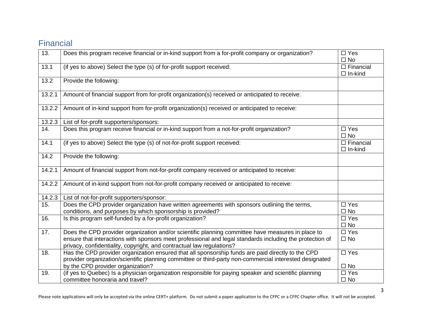# Financial

| 13.    | Does this program receive financial or in-kind support from a for-profit company or organization?                                                                                                                                                                                      | $\Box$ Yes<br>$\square$ No            |
|--------|----------------------------------------------------------------------------------------------------------------------------------------------------------------------------------------------------------------------------------------------------------------------------------------|---------------------------------------|
| 13.1   | (if yes to above) Select the type (s) of for-profit support received:                                                                                                                                                                                                                  | $\square$ Financial<br>$\Box$ In-kind |
| 13.2   | Provide the following:                                                                                                                                                                                                                                                                 |                                       |
| 13.2.1 | Amount of financial support from for-profit organization(s) received or anticipated to receive:                                                                                                                                                                                        |                                       |
| 13.2.2 | Amount of in-kind support from for-profit organization(s) received or anticipated to receive:                                                                                                                                                                                          |                                       |
| 13.2.3 | List of for-profit supporters/sponsors:                                                                                                                                                                                                                                                |                                       |
| 14.    | Does this program receive financial or in-kind support from a not-for-profit organization?                                                                                                                                                                                             | $\Box$ Yes<br>$\square$ No            |
| 14.1   | (if yes to above) Select the type (s) of not-for-profit support received:                                                                                                                                                                                                              | $\square$ Financial<br>$\Box$ In-kind |
| 14.2   | Provide the following:                                                                                                                                                                                                                                                                 |                                       |
| 14.2.1 | Amount of financial support from not-for-profit company received or anticipated to receive:                                                                                                                                                                                            |                                       |
| 14.2.2 | Amount of in-kind support from not-for-profit company received or anticipated to receive:                                                                                                                                                                                              |                                       |
| 14.2.3 | List of not-for-profit supporters/sponsor:                                                                                                                                                                                                                                             |                                       |
| 15.    | Does the CPD provider organization have written agreements with sponsors outlining the terms,<br>conditions, and purposes by which sponsorship is provided?                                                                                                                            | $\Box$ Yes<br>$\square$ No            |
| 16.    | Is this program self-funded by a for-profit organization?                                                                                                                                                                                                                              | $\square$ Yes<br>$\square$ No         |
| 17.    | Does the CPD provider organization and/or scientific planning committee have measures in place to<br>ensure that interactions with sponsors meet professional and legal standards including the protection of<br>privacy, confidentiality, copyright, and contractual law regulations? | $\Box$ Yes<br>$\Box$ No               |
| 18.    | Has the CPD provider organization ensured that all sponsorship funds are paid directly to the CPD<br>provider organization/scientific planning committee or third-party non-commercial interested designated<br>by the CPD provider organization?                                      | $\square$ Yes<br>$\square$ No         |
| 19.    | (if yes to Quebec) Is a physician organization responsible for paying speaker and scientific planning<br>committee honoraria and travel?                                                                                                                                               | $\Box$ Yes<br>$\square$ No            |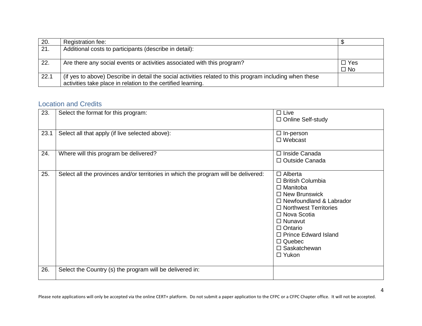| 20.  | Registration fee:                                                                                       |              |
|------|---------------------------------------------------------------------------------------------------------|--------------|
| 21.  | Additional costs to participants (describe in detail):                                                  |              |
|      |                                                                                                         |              |
| 22.  | Are there any social events or activities associated with this program?                                 | $\Box$ Yes   |
|      |                                                                                                         | $\square$ No |
| 22.1 | (if yes to above) Describe in detail the social activities related to this program including when these |              |
|      | activities take place in relation to the certified learning.                                            |              |

## Location and Credits

| 23.  | Select the format for this program:                                                 | $\square$ Live<br>□ Online Self-study                                                                                                                                                                                                                                                                    |
|------|-------------------------------------------------------------------------------------|----------------------------------------------------------------------------------------------------------------------------------------------------------------------------------------------------------------------------------------------------------------------------------------------------------|
| 23.1 | Select all that apply (if live selected above):                                     | $\Box$ In-person<br>$\Box$ Webcast                                                                                                                                                                                                                                                                       |
| 24.  | Where will this program be delivered?                                               | □ Inside Canada<br>□ Outside Canada                                                                                                                                                                                                                                                                      |
| 25.  | Select all the provinces and/or territories in which the program will be delivered: | $\Box$ Alberta<br>$\Box$ British Columbia<br>$\Box$ Manitoba<br>$\square$ New Brunswick<br>$\Box$ Newfoundland & Labrador<br>$\Box$ Northwest Territories<br>$\Box$ Nova Scotia<br>$\Box$ Nunavut<br>$\Box$ Ontario<br>□ Prince Edward Island<br>$\Box$ Quebec<br>$\square$ Saskatchewan<br>$\Box$ Yukon |
| 26.  | Select the Country (s) the program will be delivered in:                            |                                                                                                                                                                                                                                                                                                          |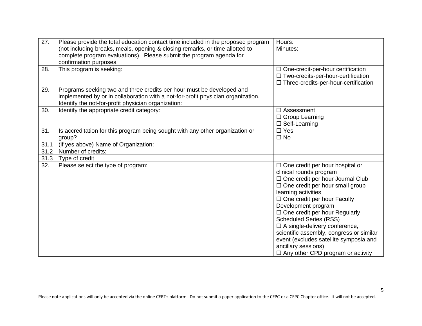| 27.  | Please provide the total education contact time included in the proposed program<br>(not including breaks, meals, opening & closing remarks, or time allotted to<br>complete program evaluations). Please submit the program agenda for<br>confirmation purposes. | Hours:<br>Minutes:                                                                                                                                                                                                                                                                                                                                                                                                                                                                                              |
|------|-------------------------------------------------------------------------------------------------------------------------------------------------------------------------------------------------------------------------------------------------------------------|-----------------------------------------------------------------------------------------------------------------------------------------------------------------------------------------------------------------------------------------------------------------------------------------------------------------------------------------------------------------------------------------------------------------------------------------------------------------------------------------------------------------|
| 28.  | This program is seeking:                                                                                                                                                                                                                                          | $\Box$ One-credit-per-hour certification<br>□ Two-credits-per-hour-certification<br>□ Three-credits-per-hour-certification                                                                                                                                                                                                                                                                                                                                                                                      |
| 29.  | Programs seeking two and three credits per hour must be developed and<br>implemented by or in collaboration with a not-for-profit physician organization.<br>Identify the not-for-profit physician organization:                                                  |                                                                                                                                                                                                                                                                                                                                                                                                                                                                                                                 |
| 30.  | Identify the appropriate credit category:                                                                                                                                                                                                                         | $\Box$ Assessment<br>$\Box$ Group Learning<br>$\Box$ Self-Learning                                                                                                                                                                                                                                                                                                                                                                                                                                              |
| 31.  | Is accreditation for this program being sought with any other organization or<br>group?                                                                                                                                                                           | $\square$ Yes<br>$\Box$ No                                                                                                                                                                                                                                                                                                                                                                                                                                                                                      |
| 31.1 | (if yes above) Name of Organization:                                                                                                                                                                                                                              |                                                                                                                                                                                                                                                                                                                                                                                                                                                                                                                 |
| 31.2 | Number of credits:                                                                                                                                                                                                                                                |                                                                                                                                                                                                                                                                                                                                                                                                                                                                                                                 |
| 31.3 | Type of credit                                                                                                                                                                                                                                                    |                                                                                                                                                                                                                                                                                                                                                                                                                                                                                                                 |
| 32.  | Please select the type of program:                                                                                                                                                                                                                                | $\Box$ One credit per hour hospital or<br>clinical rounds program<br>□ One credit per hour Journal Club<br>$\Box$ One credit per hour small group<br>learning activities<br>$\Box$ One credit per hour Faculty<br>Development program<br>$\Box$ One credit per hour Regularly<br><b>Scheduled Series (RSS)</b><br>$\Box$ A single-delivery conference,<br>scientific assembly, congress or similar<br>event (excludes satellite symposia and<br>ancillary sessions)<br>$\Box$ Any other CPD program or activity |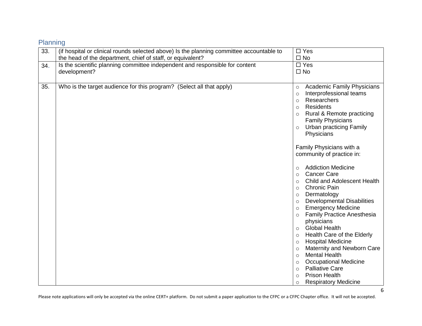| Planning |  |  |  |
|----------|--|--|--|

| 33. | (if hospital or clinical rounds selected above) Is the planning committee accountable to | $\Box$ Yes                                                                                                                                                                                                                                                                                                                                                                                                                                      |
|-----|------------------------------------------------------------------------------------------|-------------------------------------------------------------------------------------------------------------------------------------------------------------------------------------------------------------------------------------------------------------------------------------------------------------------------------------------------------------------------------------------------------------------------------------------------|
|     | the head of the department, chief of staff, or equivalent?                               | $\square$ No                                                                                                                                                                                                                                                                                                                                                                                                                                    |
| 34. | Is the scientific planning committee independent and responsible for content             | $\square$ Yes                                                                                                                                                                                                                                                                                                                                                                                                                                   |
|     | development?                                                                             | $\Box$ No                                                                                                                                                                                                                                                                                                                                                                                                                                       |
|     |                                                                                          |                                                                                                                                                                                                                                                                                                                                                                                                                                                 |
| 35. | Who is the target audience for this program? (Select all that apply)                     | <b>Academic Family Physicians</b><br>$\circ$<br>Interprofessional teams<br>$\circ$<br>Researchers<br>$\circ$<br>Residents<br>$\circ$<br>Rural & Remote practicing<br>$\circ$<br><b>Family Physicians</b><br><b>Urban practicing Family</b><br>$\circ$<br>Physicians<br>Family Physicians with a<br>community of practice in:<br><b>Addiction Medicine</b><br>$\circ$<br><b>Cancer Care</b><br>$\circ$<br>Child and Adolescent Health<br>$\circ$ |
|     |                                                                                          | <b>Chronic Pain</b><br>$\circ$<br>Dermatology<br>$\circ$                                                                                                                                                                                                                                                                                                                                                                                        |
|     |                                                                                          | <b>Developmental Disabilities</b><br>$\circ$                                                                                                                                                                                                                                                                                                                                                                                                    |
|     |                                                                                          | <b>Emergency Medicine</b><br>$\circ$                                                                                                                                                                                                                                                                                                                                                                                                            |
|     |                                                                                          | <b>Family Practice Anesthesia</b><br>$\circ$                                                                                                                                                                                                                                                                                                                                                                                                    |
|     |                                                                                          | physicians                                                                                                                                                                                                                                                                                                                                                                                                                                      |
|     |                                                                                          | <b>Global Health</b><br>$\circ$                                                                                                                                                                                                                                                                                                                                                                                                                 |
|     |                                                                                          | Health Care of the Elderly<br>$\circ$                                                                                                                                                                                                                                                                                                                                                                                                           |
|     |                                                                                          | <b>Hospital Medicine</b><br>$\circ$                                                                                                                                                                                                                                                                                                                                                                                                             |
|     |                                                                                          | Maternity and Newborn Care<br>$\circ$                                                                                                                                                                                                                                                                                                                                                                                                           |
|     |                                                                                          | <b>Mental Health</b><br>$\circ$                                                                                                                                                                                                                                                                                                                                                                                                                 |
|     |                                                                                          | <b>Occupational Medicine</b><br>$\circ$                                                                                                                                                                                                                                                                                                                                                                                                         |
|     |                                                                                          | <b>Palliative Care</b><br>$\circ$                                                                                                                                                                                                                                                                                                                                                                                                               |
|     |                                                                                          | <b>Prison Health</b><br>$\circ$                                                                                                                                                                                                                                                                                                                                                                                                                 |
|     |                                                                                          | <b>Respiratory Medicine</b><br>$\circ$                                                                                                                                                                                                                                                                                                                                                                                                          |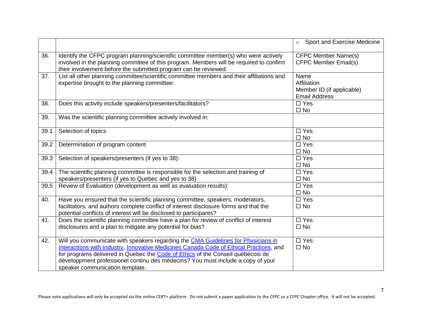|      |                                                                                                                                                                                                                                                                                                                                                                                      | Sport and Exercise Medicine<br>$\circ$                                   |
|------|--------------------------------------------------------------------------------------------------------------------------------------------------------------------------------------------------------------------------------------------------------------------------------------------------------------------------------------------------------------------------------------|--------------------------------------------------------------------------|
| 36.  | Identify the CFPC program planning/scientific committee member(s) who were actively<br>involved in the planning committee of this program. Members will be required to confirm<br>their involvement before the submitted program can be reviewed:                                                                                                                                    | <b>CFPC Member Name(s)</b><br><b>CFPC Member Email(s)</b>                |
| 37.  | List all other planning committee/scientific committee members and their affiliations and<br>expertise brought to the planning committee:                                                                                                                                                                                                                                            | Name<br>Affiliation<br>Member ID (if applicable)<br><b>Email Address</b> |
| 38.  | Does this activity include speakers/presenters/facilitators?                                                                                                                                                                                                                                                                                                                         | $\Box$ Yes<br>$\square$ No                                               |
| 39.  | Was the scientific planning committee actively involved in:                                                                                                                                                                                                                                                                                                                          |                                                                          |
| 39.1 | Selection of topics                                                                                                                                                                                                                                                                                                                                                                  | $\Box$ Yes<br>$\square$ No                                               |
| 39.2 | Determination of program content                                                                                                                                                                                                                                                                                                                                                     | $\Box$ Yes<br>$\square$ No                                               |
| 39.3 | Selection of speakers/presenters (if yes to 38):                                                                                                                                                                                                                                                                                                                                     | $\Box$ Yes<br>$\square$ No                                               |
| 39.4 | The scientific planning committee is responsible for the selection and training of<br>speakers/presenters (if yes to Quebec and yes to 38)                                                                                                                                                                                                                                           | $\square$ Yes<br>$\square$ No                                            |
| 39.5 | Review of Evaluation (development as well as evaluation results):                                                                                                                                                                                                                                                                                                                    | $\Box$ Yes<br>$\square$ No                                               |
| 40.  | Have you ensured that the scientific planning committee, speakers, moderators,<br>facilitators, and authors complete conflict of interest disclosure forms and that the<br>potential conflicts of interest will be disclosed to participants?                                                                                                                                        | $\square$ Yes<br>$\square$ No                                            |
| 41.  | Does the scientific planning committee have a plan for review of conflict of interest<br>disclosures and a plan to mitigate any potential for bias?                                                                                                                                                                                                                                  | $\Box$ Yes<br>$\square$ No                                               |
| 42.  | Will you communicate with speakers regarding the CMA Guidelines for Physicians in<br>Interactions with Industry, Innovative Medicines Canada Code of Ethical Practices, and<br>for programs delivered in Quebec the Code of Ethics of the Conseil québécois de<br>développment professionel continu des médecins? You must include a copy of your<br>speaker communication template. | $\square$ Yes<br>$\square$ No                                            |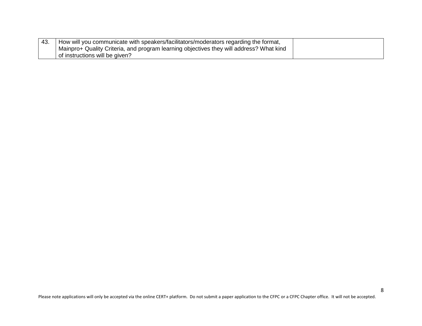| How will you communicate with speakers/facilitators/moderators regarding the format,    |  |
|-----------------------------------------------------------------------------------------|--|
| Mainpro+ Quality Criteria, and program learning objectives they will address? What kind |  |
| of instructions will be given?                                                          |  |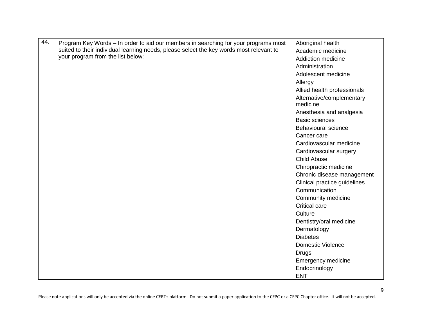| 44. | Program Key Words - In order to aid our members in searching for your programs most                                          | Aboriginal health            |
|-----|------------------------------------------------------------------------------------------------------------------------------|------------------------------|
|     | suited to their individual learning needs, please select the key words most relevant to<br>your program from the list below: | Academic medicine            |
|     |                                                                                                                              | <b>Addiction medicine</b>    |
|     |                                                                                                                              | Administration               |
|     |                                                                                                                              | Adolescent medicine          |
|     |                                                                                                                              | Allergy                      |
|     |                                                                                                                              | Allied health professionals  |
|     |                                                                                                                              | Alternative/complementary    |
|     |                                                                                                                              | medicine                     |
|     |                                                                                                                              | Anesthesia and analgesia     |
|     |                                                                                                                              | <b>Basic sciences</b>        |
|     |                                                                                                                              | <b>Behavioural science</b>   |
|     |                                                                                                                              | Cancer care                  |
|     |                                                                                                                              | Cardiovascular medicine      |
|     |                                                                                                                              | Cardiovascular surgery       |
|     |                                                                                                                              | <b>Child Abuse</b>           |
|     |                                                                                                                              | Chiropractic medicine        |
|     |                                                                                                                              | Chronic disease management   |
|     |                                                                                                                              | Clinical practice guidelines |
|     |                                                                                                                              | Communication                |
|     |                                                                                                                              | Community medicine           |
|     |                                                                                                                              | <b>Critical care</b>         |
|     |                                                                                                                              | Culture                      |
|     |                                                                                                                              | Dentistry/oral medicine      |
|     |                                                                                                                              | Dermatology                  |
|     |                                                                                                                              | <b>Diabetes</b>              |
|     |                                                                                                                              | <b>Domestic Violence</b>     |
|     |                                                                                                                              | <b>Drugs</b>                 |
|     |                                                                                                                              | <b>Emergency medicine</b>    |
|     |                                                                                                                              | Endocrinology                |
|     |                                                                                                                              | <b>ENT</b>                   |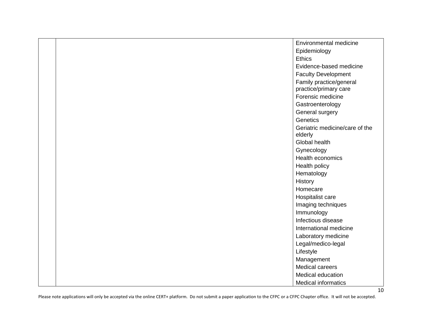|  | Environmental medicine         |
|--|--------------------------------|
|  | Epidemiology                   |
|  | Ethics                         |
|  | Evidence-based medicine        |
|  | <b>Faculty Development</b>     |
|  | Family practice/general        |
|  | practice/primary care          |
|  | Forensic medicine              |
|  | Gastroenterology               |
|  | General surgery                |
|  | Genetics                       |
|  | Geriatric medicine/care of the |
|  | elderly                        |
|  | Global health                  |
|  | Gynecology                     |
|  | Health economics               |
|  | Health policy                  |
|  | Hematology                     |
|  | History                        |
|  | Homecare                       |
|  | Hospitalist care               |
|  | Imaging techniques             |
|  | Immunology                     |
|  | Infectious disease             |
|  | International medicine         |
|  | Laboratory medicine            |
|  | Legal/medico-legal             |
|  | Lifestyle                      |
|  | Management                     |
|  | Medical careers                |
|  | Medical education              |
|  | <b>Medical informatics</b>     |

10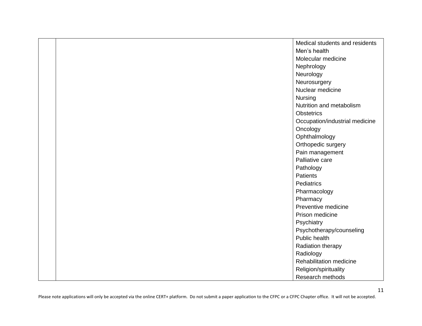|  | Medical students and residents |
|--|--------------------------------|
|  | Men's health                   |
|  | Molecular medicine             |
|  | Nephrology                     |
|  | Neurology                      |
|  | Neurosurgery                   |
|  | Nuclear medicine               |
|  | Nursing                        |
|  | Nutrition and metabolism       |
|  | <b>Obstetrics</b>              |
|  | Occupation/industrial medicine |
|  | Oncology                       |
|  | Ophthalmology                  |
|  | Orthopedic surgery             |
|  | Pain management                |
|  | Palliative care                |
|  | Pathology                      |
|  | <b>Patients</b>                |
|  | <b>Pediatrics</b>              |
|  | Pharmacology                   |
|  | Pharmacy                       |
|  | Preventive medicine            |
|  | Prison medicine                |
|  | Psychiatry                     |
|  | Psychotherapy/counseling       |
|  | Public health                  |
|  | Radiation therapy              |
|  | Radiology                      |
|  | Rehabilitation medicine        |
|  | Religion/spirituality          |
|  | Research methods               |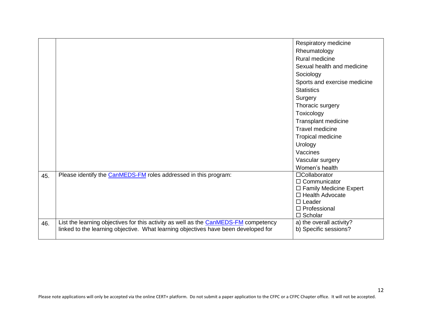|     |                                                                                            | Respiratory medicine                  |
|-----|--------------------------------------------------------------------------------------------|---------------------------------------|
|     |                                                                                            | Rheumatology                          |
|     |                                                                                            | Rural medicine                        |
|     |                                                                                            | Sexual health and medicine            |
|     |                                                                                            | Sociology                             |
|     |                                                                                            | Sports and exercise medicine          |
|     |                                                                                            | <b>Statistics</b>                     |
|     |                                                                                            | Surgery                               |
|     |                                                                                            | Thoracic surgery                      |
|     |                                                                                            |                                       |
|     |                                                                                            | Toxicology                            |
|     |                                                                                            | Transplant medicine                   |
|     |                                                                                            | <b>Travel medicine</b>                |
|     |                                                                                            | Tropical medicine                     |
|     |                                                                                            | Urology                               |
|     |                                                                                            | Vaccines                              |
|     |                                                                                            | Vascular surgery                      |
|     |                                                                                            | Women's health                        |
| 45. | Please identify the CanMEDS-FM roles addressed in this program:                            | $\Box$ Collaborator                   |
|     |                                                                                            | $\Box$ Communicator                   |
|     |                                                                                            | $\Box$ Family Medicine Expert         |
|     |                                                                                            | $\Box$ Health Advocate                |
|     |                                                                                            | $\Box$ Leader                         |
|     |                                                                                            | $\Box$ Professional<br>$\Box$ Scholar |
|     | List the learning objectives for this activity as well as the <b>CanMEDS-FM</b> competency | a) the overall activity?              |
| 46. | linked to the learning objective. What learning objectives have been developed for         | b) Specific sessions?                 |
|     |                                                                                            |                                       |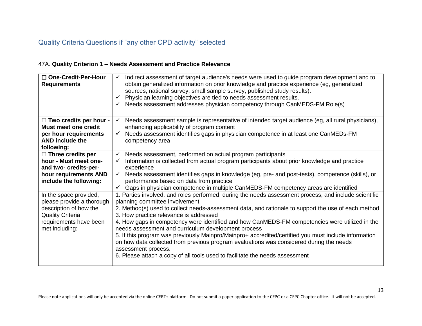## Quality Criteria Questions if "any other CPD activity" selected

#### 47A. **Quality Criterion 1 – Needs Assessment and Practice Relevance**

| □ One-Credit-Per-Hour<br><b>Requirements</b>         | Indirect assessment of target audience's needs were used to guide program development and to<br>$\checkmark$<br>obtain generalized information on prior knowledge and practice experience (eg, generalized<br>sources, national survey, small sample survey, published study results).<br>Physician learning objectives are tied to needs assessment results.<br>Needs assessment addresses physician competency through CanMEDS-FM Role(s) |
|------------------------------------------------------|---------------------------------------------------------------------------------------------------------------------------------------------------------------------------------------------------------------------------------------------------------------------------------------------------------------------------------------------------------------------------------------------------------------------------------------------|
| $\Box$ Two credits per hour -                        | Needs assessment sample is representative of intended target audience (eg, all rural physicians),<br>✓                                                                                                                                                                                                                                                                                                                                      |
| <b>Must meet one credit</b><br>per hour requirements | enhancing applicability of program content<br>Needs assessment identifies gaps in physician competence in at least one CanMEDs-FM<br>✓                                                                                                                                                                                                                                                                                                      |
| <b>AND include the</b>                               | competency area                                                                                                                                                                                                                                                                                                                                                                                                                             |
| following:                                           |                                                                                                                                                                                                                                                                                                                                                                                                                                             |
| $\Box$ Three credits per                             | Needs assessment, performed on actual program participants                                                                                                                                                                                                                                                                                                                                                                                  |
| hour - Must meet one-                                | Information is collected from actual program participants about prior knowledge and practice                                                                                                                                                                                                                                                                                                                                                |
| and two- credits-per-                                | experience<br>$\checkmark$                                                                                                                                                                                                                                                                                                                                                                                                                  |
| hour requirements AND<br>include the following:      | Needs assessment identifies gaps in knowledge (eg, pre- and post-tests), competence (skills), or<br>performance based on data from practice                                                                                                                                                                                                                                                                                                 |
|                                                      | ✓ Gaps in physician competence in multiple CanMEDS-FM competency areas are identified                                                                                                                                                                                                                                                                                                                                                       |
| In the space provided,                               | 1. Parties involved, and roles performed, during the needs assessment process, and include scientific                                                                                                                                                                                                                                                                                                                                       |
| please provide a thorough                            | planning committee involvement                                                                                                                                                                                                                                                                                                                                                                                                              |
| description of how the<br><b>Quality Criteria</b>    | 2. Method(s) used to collect needs-assessment data, and rationale to support the use of each method<br>3. How practice relevance is addressed                                                                                                                                                                                                                                                                                               |
| requirements have been<br>met including:             | 4. How gaps in competency were identified and how CanMEDS-FM competencies were utilized in the<br>needs assessment and curriculum development process                                                                                                                                                                                                                                                                                       |
|                                                      | 5. If this program was previously Mainpro/Mainpro+ accredited/certified you must include information<br>on how data collected from previous program evaluations was considered during the needs                                                                                                                                                                                                                                             |
|                                                      | assessment process.<br>6. Please attach a copy of all tools used to facilitate the needs assessment                                                                                                                                                                                                                                                                                                                                         |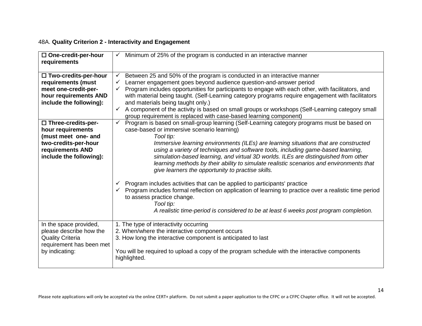#### 48A. **Quality Criterion 2 - Interactivity and Engagement**

| □ One-credit-per-hour<br>requirements | Minimum of 25% of the program is conducted in an interactive manner                                                                                                                                                                 |
|---------------------------------------|-------------------------------------------------------------------------------------------------------------------------------------------------------------------------------------------------------------------------------------|
| □ Two-credits-per-hour                | Between 25 and 50% of the program is conducted in an interactive manner<br>✓                                                                                                                                                        |
| requirements (must                    | Learner engagement goes beyond audience question-and-answer period                                                                                                                                                                  |
| meet one-credit-per-                  | Program includes opportunities for participants to engage with each other, with facilitators, and                                                                                                                                   |
| hour requirements AND                 | with material being taught. (Self-Learning category programs require engagement with facilitators                                                                                                                                   |
| include the following):               | and materials being taught only.)                                                                                                                                                                                                   |
|                                       | A component of the activity is based on small groups or workshops (Self-Learning category small<br>$\checkmark$<br>group requirement is replaced with case-based learning component)                                                |
| □ Three-credits-per-                  | $\checkmark$<br>Program is based on small-group learning (Self-Learning category programs must be based on                                                                                                                          |
| hour requirements                     | case-based or immersive scenario learning)                                                                                                                                                                                          |
| (must meet one- and                   | Tool tip:                                                                                                                                                                                                                           |
| two-credits-per-hour                  | Immersive learning environments (ILEs) are learning situations that are constructed                                                                                                                                                 |
| requirements AND                      | using a variety of techniques and software tools, including game-based learning,                                                                                                                                                    |
| include the following):               | simulation-based learning, and virtual 3D worlds. ILEs are distinguished from other<br>learning methods by their ability to simulate realistic scenarios and environments that<br>give learners the opportunity to practise skills. |
|                                       | Program includes activities that can be applied to participants' practice                                                                                                                                                           |
|                                       | Program includes formal reflection on application of learning to practice over a realistic time period                                                                                                                              |
|                                       | to assess practice change.                                                                                                                                                                                                          |
|                                       | Tool tip:                                                                                                                                                                                                                           |
|                                       | A realistic time-period is considered to be at least 6 weeks post program completion.                                                                                                                                               |
| In the space provided,                | 1. The type of interactivity occurring                                                                                                                                                                                              |
| please describe how the               | 2. When/where the interactive component occurs                                                                                                                                                                                      |
| <b>Quality Criteria</b>               | 3. How long the interactive component is anticipated to last                                                                                                                                                                        |
| requirement has been met              |                                                                                                                                                                                                                                     |
| by indicating:                        | You will be required to upload a copy of the program schedule with the interactive components<br>highlighted.                                                                                                                       |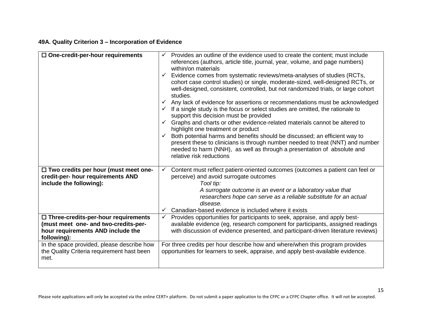#### **49A. Quality Criterion 3 – Incorporation of Evidence**

| $\Box$ One-credit-per-hour requirements                                                                                                | Provides an outline of the evidence used to create the content; must include<br>references (authors, article title, journal, year, volume, and page numbers)<br>within/on materials<br>Evidence comes from systematic reviews/meta-analyses of studies (RCTs,<br>cohort case control studies) or single, moderate-sized, well-designed RCTs, or<br>well-designed, consistent, controlled, but not randomized trials, or large cohort<br>studies.<br>Any lack of evidence for assertions or recommendations must be acknowledged<br>$\checkmark$ If a single study is the focus or select studies are omitted, the rationale to<br>support this decision must be provided<br>Graphs and charts or other evidence-related materials cannot be altered to<br>highlight one treatment or product<br>Both potential harms and benefits should be discussed; an efficient way to<br>present these to clinicians is through number needed to treat (NNT) and number<br>needed to harm (NNH), as well as through a presentation of absolute and<br>relative risk reductions |
|----------------------------------------------------------------------------------------------------------------------------------------|---------------------------------------------------------------------------------------------------------------------------------------------------------------------------------------------------------------------------------------------------------------------------------------------------------------------------------------------------------------------------------------------------------------------------------------------------------------------------------------------------------------------------------------------------------------------------------------------------------------------------------------------------------------------------------------------------------------------------------------------------------------------------------------------------------------------------------------------------------------------------------------------------------------------------------------------------------------------------------------------------------------------------------------------------------------------|
| $\Box$ Two credits per hour (must meet one-<br>credit-per- hour requirements AND<br>include the following):                            | Content must reflect patient-oriented outcomes (outcomes a patient can feel or<br>perceive) and avoid surrogate outcomes<br>Tool tip:<br>A surrogate outcome is an event or a laboratory value that<br>researchers hope can serve as a reliable substitute for an actual<br>disease.<br>Canadian-based evidence is included where it exists                                                                                                                                                                                                                                                                                                                                                                                                                                                                                                                                                                                                                                                                                                                         |
| $\Box$ Three-credits-per-hour requirements<br>(must meet one- and two-credits-per-<br>hour requirements AND include the<br>following): | Provides opportunities for participants to seek, appraise, and apply best-<br>$\checkmark$<br>available evidence (eg, research component for participants, assigned readings<br>with discussion of evidence presented, and participant-driven literature reviews)                                                                                                                                                                                                                                                                                                                                                                                                                                                                                                                                                                                                                                                                                                                                                                                                   |
| In the space provided, please describe how<br>the Quality Criteria requirement hast been<br>met.                                       | For three credits per hour describe how and where/when this program provides<br>opportunities for learners to seek, appraise, and apply best-available evidence.                                                                                                                                                                                                                                                                                                                                                                                                                                                                                                                                                                                                                                                                                                                                                                                                                                                                                                    |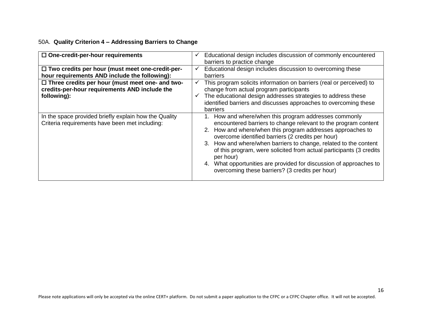#### 50A. **Quality Criterion 4 – Addressing Barriers to Change**

| $\Box$ One-credit-per-hour requirements                                                                                |        | Educational design includes discussion of commonly encountered<br>barriers to practice change                                                                                                                                                                                                                                                                                                                                                                                                                            |
|------------------------------------------------------------------------------------------------------------------------|--------|--------------------------------------------------------------------------------------------------------------------------------------------------------------------------------------------------------------------------------------------------------------------------------------------------------------------------------------------------------------------------------------------------------------------------------------------------------------------------------------------------------------------------|
| $\Box$ Two credits per hour (must meet one-credit-per-<br>hour requirements AND include the following):                | ✓      | Educational design includes discussion to overcoming these<br>barriers                                                                                                                                                                                                                                                                                                                                                                                                                                                   |
| $\Box$ Three credits per hour (must meet one- and two-<br>credits-per-hour requirements AND include the<br>following): | v<br>✓ | This program solicits information on barriers (real or perceived) to<br>change from actual program participants<br>The educational design addresses strategies to address these<br>identified barriers and discusses approaches to overcoming these<br>barriers                                                                                                                                                                                                                                                          |
| In the space provided briefly explain how the Quality<br>Criteria requirements have been met including:                |        | How and where/when this program addresses commonly<br>encountered barriers to change relevant to the program content<br>2. How and where/when this program addresses approaches to<br>overcome identified barriers (2 credits per hour)<br>3. How and where/when barriers to change, related to the content<br>of this program, were solicited from actual participants (3 credits<br>per hour)<br>4. What opportunities are provided for discussion of approaches to<br>overcoming these barriers? (3 credits per hour) |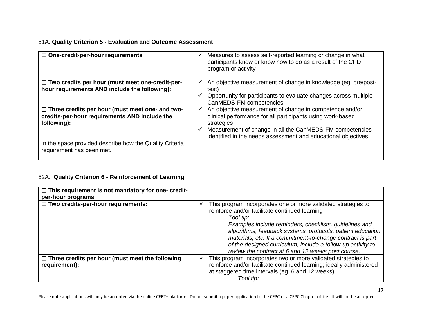#### 51A**. Quality Criterion 5 - Evaluation and Outcome Assessment**

| $\Box$ One-credit-per-hour requirements                                                                                | Measures to assess self-reported learning or change in what<br>✓<br>participants know or know how to do as a result of the CPD<br>program or activity                                                                                                                            |
|------------------------------------------------------------------------------------------------------------------------|----------------------------------------------------------------------------------------------------------------------------------------------------------------------------------------------------------------------------------------------------------------------------------|
| $\Box$ Two credits per hour (must meet one-credit-per-<br>hour requirements AND include the following):                | An objective measurement of change in knowledge (eg, pre/post-<br>✓<br>test)<br>Opportunity for participants to evaluate changes across multiple<br>CanMEDS-FM competencies                                                                                                      |
| $\Box$ Three credits per hour (must meet one- and two-<br>credits-per-hour requirements AND include the<br>following): | An objective measurement of change in competence and/or<br>$\checkmark$<br>clinical performance for all participants using work-based<br>strategies<br>Measurement of change in all the CanMEDS-FM competencies<br>identified in the needs assessment and educational objectives |
| In the space provided describe how the Quality Criteria<br>requirement has been met.                                   |                                                                                                                                                                                                                                                                                  |

### 52A. **Quality Criterion 6 - Reinforcement of Learning**

| $\Box$ This requirement is not mandatory for one- credit-<br>per-hour programs |                                                                                                                                                                                                                                                                                                                                                                                                                                         |
|--------------------------------------------------------------------------------|-----------------------------------------------------------------------------------------------------------------------------------------------------------------------------------------------------------------------------------------------------------------------------------------------------------------------------------------------------------------------------------------------------------------------------------------|
| $\Box$ Two credits-per-hour requirements:                                      | This program incorporates one or more validated strategies to<br>reinforce and/or facilitate continued learning<br>Tool tip:<br>Examples include reminders, checklists, guidelines and<br>algorithms, feedback systems, protocols, patient education<br>materials, etc. If a commitment-to-change contract is part<br>of the designed curriculum, include a follow-up activity to<br>review the contract at 6 and 12 weeks post course. |
| $\Box$ Three credits per hour (must meet the following<br>requirement):        | This program incorporates two or more validated strategies to<br>✓<br>reinforce and/or facilitate continued learning; ideally administered<br>at staggered time intervals (eg, 6 and 12 weeks)<br>Tool tip:                                                                                                                                                                                                                             |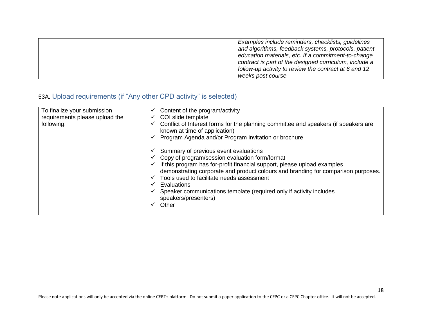|  | Examples include reminders, checklists, guidelines<br>and algorithms, feedback systems, protocols, patient<br>education materials, etc. If a commitment-to-change<br>contract is part of the designed curriculum, include a<br>follow-up activity to review the contract at 6 and 12<br>weeks post course |
|--|-----------------------------------------------------------------------------------------------------------------------------------------------------------------------------------------------------------------------------------------------------------------------------------------------------------|
|--|-----------------------------------------------------------------------------------------------------------------------------------------------------------------------------------------------------------------------------------------------------------------------------------------------------------|

## 53A. Upload requirements (if "Any other CPD activity" is selected)

| To finalize your submission<br>requirements please upload the<br>following: | Content of the program/activity<br>✓<br>COI slide template<br>✔<br>Conflict of Interest forms for the planning committee and speakers (if speakers are<br>known at time of application)<br>Program Agenda and/or Program invitation or brochure<br>Summary of previous event evaluations<br>Copy of program/session evaluation form/format<br>If this program has for-profit financial support, please upload examples<br>demonstrating corporate and product colours and branding for comparison purposes.<br>Tools used to facilitate needs assessment<br>Evaluations<br>Speaker communications template (required only if activity includes<br>speakers/presenters)<br>Other |
|-----------------------------------------------------------------------------|---------------------------------------------------------------------------------------------------------------------------------------------------------------------------------------------------------------------------------------------------------------------------------------------------------------------------------------------------------------------------------------------------------------------------------------------------------------------------------------------------------------------------------------------------------------------------------------------------------------------------------------------------------------------------------|
|-----------------------------------------------------------------------------|---------------------------------------------------------------------------------------------------------------------------------------------------------------------------------------------------------------------------------------------------------------------------------------------------------------------------------------------------------------------------------------------------------------------------------------------------------------------------------------------------------------------------------------------------------------------------------------------------------------------------------------------------------------------------------|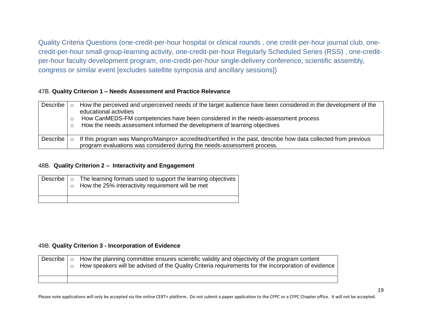Quality Criteria Questions (one-credit-per-hour hospital or clinical rounds , one credit-per-hour journal club, onecredit-per-hour small-group-learning activity, one-credit-per-hour Regularly Scheduled Series (RSS) , one-creditper-hour faculty development program, one-credit-per-hour single-delivery conference, scientific assembly, congress or similar event [excludes satellite symposia and ancillary sessions])

#### 47B. **Quality Criterion 1 – Needs Assessment and Practice Relevance**

| Describe |         | How the perceived and unperceived needs of the target audience have been considered in the development of the<br>educational activities<br>How CanMEDS-FM competencies have been considered in the needs-assessment process<br>How the needs assessment informed the development of learning objectives |
|----------|---------|---------------------------------------------------------------------------------------------------------------------------------------------------------------------------------------------------------------------------------------------------------------------------------------------------------|
| Describe | $\circ$ | If this program was Mainpro/Mainpro+ accredited/certified in the past, describe how data collected from previous<br>program evaluations was considered during the needs-assessment process.                                                                                                             |

#### 48B. **Quality Criterion 2 – Interactivity and Engagement**

|  | $\vert$ Describe $\vert$ $\circ$ The learning formats used to support the learning objectives<br>How the 25% interactivity requirement will be met |
|--|----------------------------------------------------------------------------------------------------------------------------------------------------|
|  |                                                                                                                                                    |

#### 49B. **Quality Criterion 3 - Incorporation of Evidence**

| Describe I | $\Omega$ | How the planning committee ensures scientific validity and objectivity of the program content<br>How speakers will be advised of the Quality Criteria requirements for the incorporation of evidence |  |
|------------|----------|------------------------------------------------------------------------------------------------------------------------------------------------------------------------------------------------------|--|
|            |          |                                                                                                                                                                                                      |  |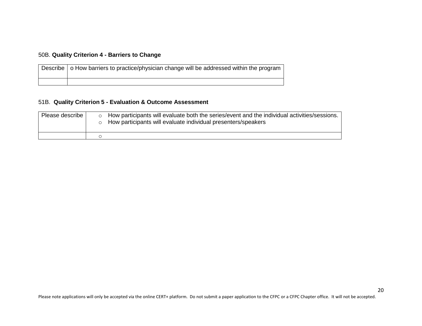#### 50B. **Quality Criterion 4 - Barriers to Change**

| Describe   o How barriers to practice/physician change will be addressed within the program |
|---------------------------------------------------------------------------------------------|
|                                                                                             |

#### 51B. **Quality Criterion 5 - Evaluation & Outcome Assessment**

| Please describe | How participants will evaluate both the series/event and the individual activities/sessions.<br>How participants will evaluate individual presenters/speakers |
|-----------------|---------------------------------------------------------------------------------------------------------------------------------------------------------------|
|                 |                                                                                                                                                               |